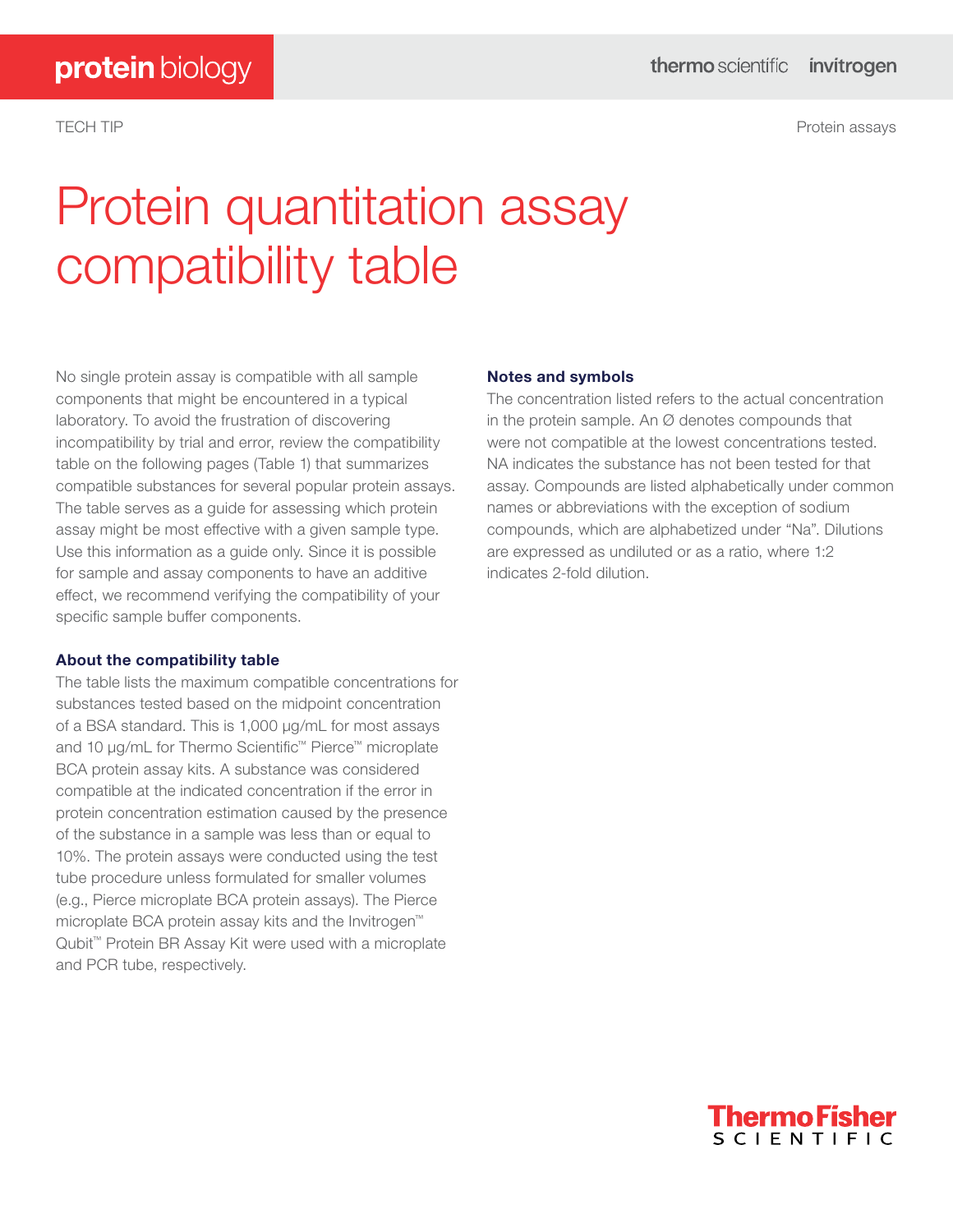TECH TIP Protein assays

# Protein quantitation assay compatibility table

No single protein assay is compatible with all sample components that might be encountered in a typical laboratory. To avoid the frustration of discovering incompatibility by trial and error, review the compatibility table on the following pages (Table 1) that summarizes compatible substances for several popular protein assays. The table serves as a guide for assessing which protein assay might be most effective with a given sample type. Use this information as a guide only. Since it is possible for sample and assay components to have an additive effect, we recommend verifying the compatibility of your specific sample buffer components.

### About the compatibility table

The table lists the maximum compatible concentrations for substances tested based on the midpoint concentration of a BSA standard. This is 1,000 μg/mL for most assays and 10 μg/mL for Thermo Scientific™ Pierce™ microplate BCA protein assay kits. A substance was considered compatible at the indicated concentration if the error in protein concentration estimation caused by the presence of the substance in a sample was less than or equal to 10%. The protein assays were conducted using the test tube procedure unless formulated for smaller volumes (e.g., Pierce microplate BCA protein assays). The Pierce microplate BCA protein assay kits and the Invitrogen™ Qubit<sup>™</sup> Protein BR Assay Kit were used with a microplate and PCR tube, respectively.

## Notes and symbols

The concentration listed refers to the actual concentration in the protein sample. An  $\varnothing$  denotes compounds that were not compatible at the lowest concentrations tested. NA indicates the substance has not been tested for that assay. Compounds are listed alphabetically under common names or abbreviations with the exception of sodium compounds, which are alphabetized under "Na". Dilutions are expressed as undiluted or as a ratio, where 1:2 indicates 2-fold dilution.

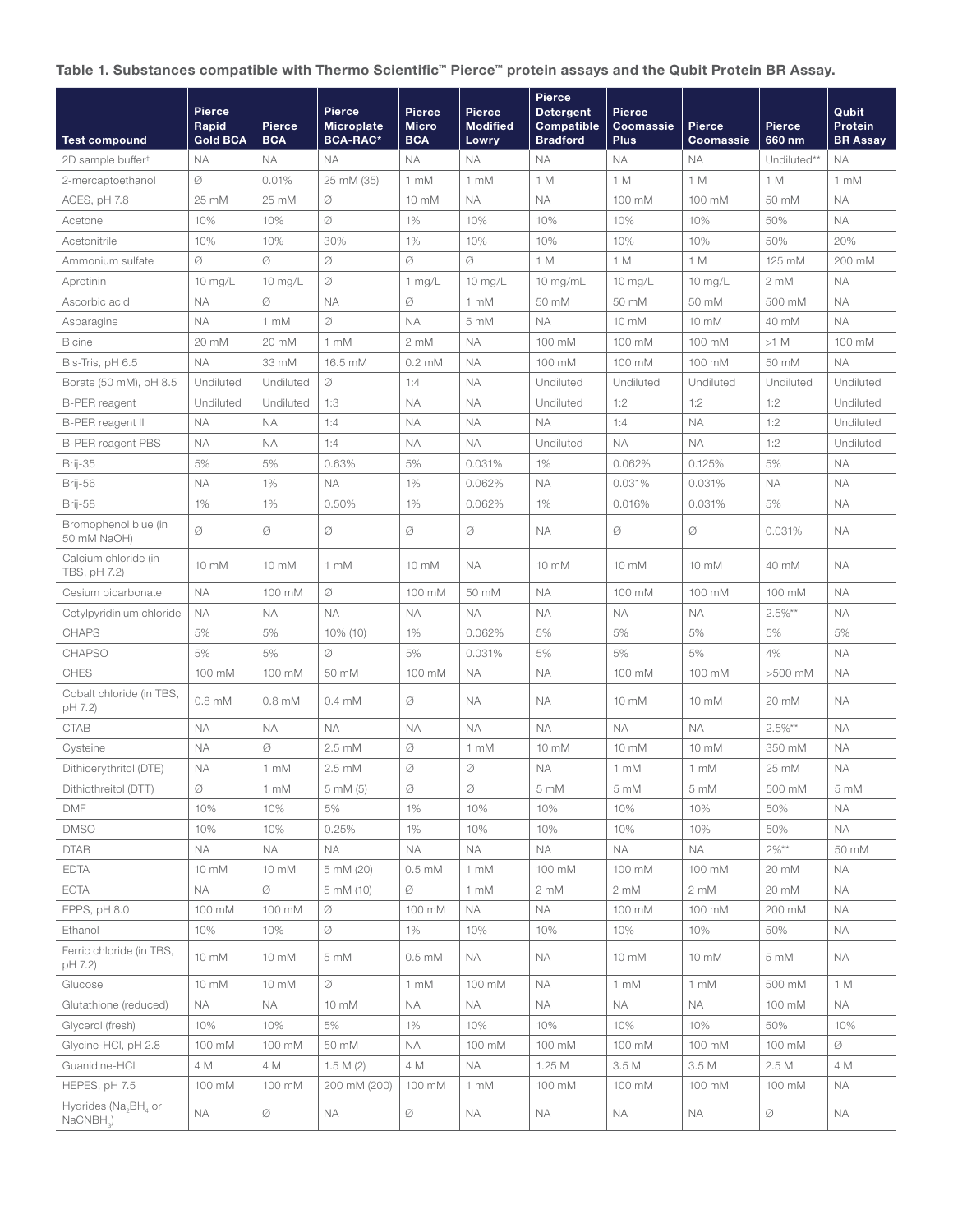## Table 1. Substances compatible with Thermo Scientific™ Pierce™ protein assays and the Qubit Protein BR Assay.

|                                                 | Pierce<br>Rapid | <b>Pierce</b>    | <b>Pierce</b><br><b>Microplate</b> | <b>Pierce</b><br><b>Micro</b> | Pierce<br><b>Modified</b> | Pierce<br><b>Detergent</b><br><b>Compatible</b> | Pierce<br>Coomassie | Pierce            | <b>Pierce</b> | Qubit<br>Protein |
|-------------------------------------------------|-----------------|------------------|------------------------------------|-------------------------------|---------------------------|-------------------------------------------------|---------------------|-------------------|---------------|------------------|
| <b>Test compound</b>                            | <b>Gold BCA</b> | <b>BCA</b>       | <b>BCA-RAC*</b>                    | <b>BCA</b>                    | Lowry                     | <b>Bradford</b>                                 | <b>Plus</b>         | Coomassie         | 660 nm        | <b>BR Assay</b>  |
| 2D sample buffer <sup>+</sup>                   | <b>NA</b>       | <b>NA</b>        | NA.                                | <b>NA</b>                     | <b>NA</b>                 | <b>NA</b>                                       | <b>NA</b>           | <b>NA</b>         | Undiluted**   | <b>NA</b>        |
| 2-mercaptoethanol                               | Ø               | 0.01%            | 25 mM (35)                         | 1 mM                          | 1 mM                      | 1 M                                             | 1 M                 | 1 M               | 1 M           | 1 mM             |
| ACES, pH 7.8                                    | 25 mM           | 25 mM            | Ø                                  | 10 mM                         | <b>NA</b>                 | <b>NA</b>                                       | 100 mM              | 100 mM            | 50 mM         | <b>NA</b>        |
| Acetone                                         | 10%             | 10%              | Ø                                  | 1%                            | 10%                       | 10%                                             | 10%                 | 10%               | 50%           | <b>NA</b>        |
| Acetonitrile                                    | 10%             | 10%              | 30%                                | 1%                            | 10%                       | 10%                                             | 10%                 | 10%               | 50%           | 20%              |
| Ammonium sulfate                                | Ø               | Ø                | Ø                                  | Ø                             | Ø                         | 1 M                                             | 1 M                 | 1 M               | 125 mM        | 200 mM           |
| Aprotinin                                       | 10 mg/L         | 10 $mg/L$        | Ø                                  | $1$ mg/L                      | $10 \text{ mg/L}$         | 10 $mg/mL$                                      | $10$ mg/L           | $10 \text{ mg/L}$ | 2 mM          | <b>NA</b>        |
| Ascorbic acid                                   | <b>NA</b>       | Ø                | <b>NA</b>                          | Ø                             | 1 mM                      | 50 mM                                           | 50 mM               | 50 mM             | 500 mM        | <b>NA</b>        |
| Asparagine                                      | <b>NA</b>       | 1 mM             | Ø                                  | <b>NA</b>                     | 5 mM                      | <b>NA</b>                                       | 10 mM               | 10 mM             | 40 mM         | <b>NA</b>        |
| <b>Bicine</b>                                   | 20 mM           | 20 mM            | 1 mM                               | $2 \text{ mM}$                | <b>NA</b>                 | 100 mM                                          | 100 mM              | 100 mM            | $>1$ M        | 100 mM           |
| Bis-Tris, pH 6.5                                | <b>NA</b>       | 33 mM            | 16.5 mM                            | $0.2 \text{ mM}$              | <b>NA</b>                 | 100 mM                                          | 100 mM              | 100 mM            | 50 mM         | <b>NA</b>        |
| Borate (50 mM), pH 8.5                          | Undiluted       | Undiluted        | Ø                                  | 1:4                           | <b>NA</b>                 | Undiluted                                       | Undiluted           | Undiluted         | Undiluted     | Undiluted        |
| <b>B-PER reagent</b>                            | Undiluted       | Undiluted        | 1:3                                | <b>NA</b>                     | <b>NA</b>                 | Undiluted                                       | 1:2                 | 1:2               | 1:2           | Undiluted        |
| B-PER reagent II                                | <b>NA</b>       | <b>NA</b>        | 1:4                                | <b>NA</b>                     | <b>NA</b>                 | <b>NA</b>                                       | 1:4                 | <b>NA</b>         | 1:2           | Undiluted        |
| <b>B-PER reagent PBS</b>                        | <b>NA</b>       | <b>NA</b>        | 1:4                                | <b>NA</b>                     | <b>NA</b>                 | Undiluted                                       | <b>NA</b>           | ΝA                | 1:2           | Undiluted        |
| Brij-35                                         | 5%              | 5%               | 0.63%                              | 5%                            | 0.031%                    | 1%                                              | 0.062%              | 0.125%            | 5%            | <b>NA</b>        |
| Brij-56                                         | <b>NA</b>       | 1%               | <b>NA</b>                          | 1%                            | 0.062%                    | <b>NA</b>                                       | 0.031%              | 0.031%            | <b>NA</b>     | <b>NA</b>        |
| Brij-58                                         | 1%              | 1%               | 0.50%                              | 1%                            | 0.062%                    | 1%                                              | 0.016%              | 0.031%            | 5%            | <b>NA</b>        |
| Bromophenol blue (in<br>50 mM NaOH)             | Ø               | Ø                | Ø                                  | Ø                             | Ø                         | <b>NA</b>                                       | Ø                   | Ø                 | 0.031%        | <b>NA</b>        |
| Calcium chloride (in<br>TBS, pH 7.2)            | 10 mM           | 10 mM            | 1 mM                               | 10 mM                         | <b>NA</b>                 | 10 mM                                           | 10 mM               | 10 mM             | 40 mM         | <b>NA</b>        |
| Cesium bicarbonate                              | <b>NA</b>       | 100 mM           | Ø                                  | 100 mM                        | 50 mM                     | <b>NA</b>                                       | 100 mM              | 100 mM            | 100 mM        | <b>NA</b>        |
| Cetylpyridinium chloride                        | <b>NA</b>       | <b>NA</b>        | <b>NA</b>                          | <b>NA</b>                     | <b>NA</b>                 | <b>NA</b>                                       | <b>NA</b>           | ΝA                | $2.5\%**$     | <b>NA</b>        |
| <b>CHAPS</b>                                    | 5%              | 5%               | 10% (10)                           | 1%                            | 0.062%                    | 5%                                              | 5%                  | 5%                | 5%            | 5%               |
| <b>CHAPSO</b>                                   | 5%              | 5%               | Ø                                  | 5%                            | 0.031%                    | 5%                                              | 5%                  | 5%                | 4%            | <b>NA</b>        |
| <b>CHES</b>                                     | 100 mM          | 100 mM           | 50 mM                              | 100 mM                        | <b>NA</b>                 | <b>NA</b>                                       | 100 mM              | 100 mM            | >500 mM       | <b>NA</b>        |
| Cobalt chloride (in TBS,<br>pH 7.2)             | $0.8$ mM        | $0.8 \text{ mM}$ | $0.4 \text{ mM}$                   | Ø                             | <b>NA</b>                 | <b>NA</b>                                       | 10 mM               | 10 mM             | 20 mM         | <b>NA</b>        |
| <b>CTAB</b>                                     | <b>NA</b>       | <b>NA</b>        | <b>NA</b>                          | <b>NA</b>                     | <b>NA</b>                 | <b>NA</b>                                       | <b>NA</b>           | <b>ΝΑ</b>         | $2.5\%**$     | <b>NA</b>        |
| Cysteine                                        | <b>NA</b>       | Ø                | $2.5 \text{ mM}$                   | Ø                             | 1 mM                      | $10 \text{ mM}$                                 | 10 mM               | $10 \text{ mM}$   | 350 mM        | <b>NA</b>        |
| Dithioerythritol (DTE)                          | <b>NA</b>       | 1 mM             | $2.5 \text{ mM}$                   | Ø                             | Ø                         | <b>NA</b>                                       | 1 mM                | 1 mM              | 25 mM         | <b>NA</b>        |
| Dithiothreitol (DTT)                            | Ø               | 1 mM             | 5 mM (5)                           | Ø                             | Ø                         | 5 mM                                            | 5 mM                | 5 mM              | 500 mM        | 5 mM             |
| <b>DMF</b>                                      | 10%             | 10%              | 5%                                 | 1%                            | 10%                       | 10%                                             | 10%                 | 10%               | 50%           | <b>NA</b>        |
| <b>DMSO</b>                                     | 10%             | 10%              | 0.25%                              | 1%                            | 10%                       | 10%                                             | 10%                 | 10%               | 50%           | <b>NA</b>        |
| <b>DTAB</b>                                     | <b>NA</b>       | <b>NA</b>        | <b>NA</b>                          | <b>NA</b>                     | <b>NA</b>                 | NА                                              | NA.                 | ΝA                | $2\%**$       | 50 mM            |
| <b>EDTA</b>                                     | 10 mM           | 10 mM            | 5 mM (20)                          | $0.5 \text{ mM}$              | 1 mM                      | 100 mM                                          | 100 mM              | 100 mM            | 20 mM         | <b>NA</b>        |
| <b>EGTA</b>                                     | <b>NA</b>       | Ø                | 5 mM (10)                          | Ø                             | 1 mM                      | 2 mM                                            | 2 mM                | 2 mM              | 20 mM         | <b>NA</b>        |
| EPPS, pH 8.0                                    | 100 mM          | 100 mM           | Ø                                  | 100 mM                        | <b>NA</b>                 | <b>NA</b>                                       | 100 mM              | 100 mM            | 200 mM        | NA.              |
| Ethanol                                         | 10%             | 10%              | Ø                                  | 1%                            | 10%                       | 10%                                             | 10%                 | 10%               | 50%           | NA.              |
| Ferric chloride (in TBS,<br>pH 7.2)             | 10 mM           | 10 mM            | 5 mM                               | $0.5 \text{ mM}$              | <b>NA</b>                 | <b>NA</b>                                       | 10 mM               | 10 mM             | 5 mM          | NA.              |
| Glucose                                         | 10 mM           | 10 mM            | Ø                                  | 1 mM                          | 100 mM                    | <b>NA</b>                                       | 1 mM                | 1 mM              | 500 mM        | 1 M              |
| Glutathione (reduced)                           | <b>NA</b>       | <b>NA</b>        | 10 mM                              | <b>NA</b>                     | <b>NA</b>                 | <b>NA</b>                                       | <b>NA</b>           | <b>NA</b>         | 100 mM        | NA.              |
| Glycerol (fresh)                                | 10%             | 10%              | 5%                                 | 1%                            | 10%                       | 10%                                             | 10%                 | 10%               | 50%           | 10%              |
| Glycine-HCl, pH 2.8                             | 100 mM          | 100 mM           | 50 mM                              | <b>NA</b>                     | 100 mM                    | 100 mM                                          | 100 mM              | 100 mM            | 100 mM        | Ø                |
| Guanidine-HCl                                   | 4 M             | 4 M              | 1.5 M $(2)$                        | 4 M                           | <b>NA</b>                 | 1.25 M                                          | 3.5 M               | 3.5 M             | 2.5 M         | 4 M              |
| HEPES, pH 7.5                                   | 100 mM          | 100 mM           | 200 mM (200)                       | 100 mM                        | 1 mM                      | 100 mM                                          | 100 mM              | 100 mM            | 100 mM        | NA.              |
| Hydrides (Na <sub>2</sub> BH, or<br>$NaCNBH3$ ) | NА              | Ø                | NА                                 | Ø                             | ΝA                        | <b>NA</b>                                       | NА                  | ΝA                | Ø             | NA.              |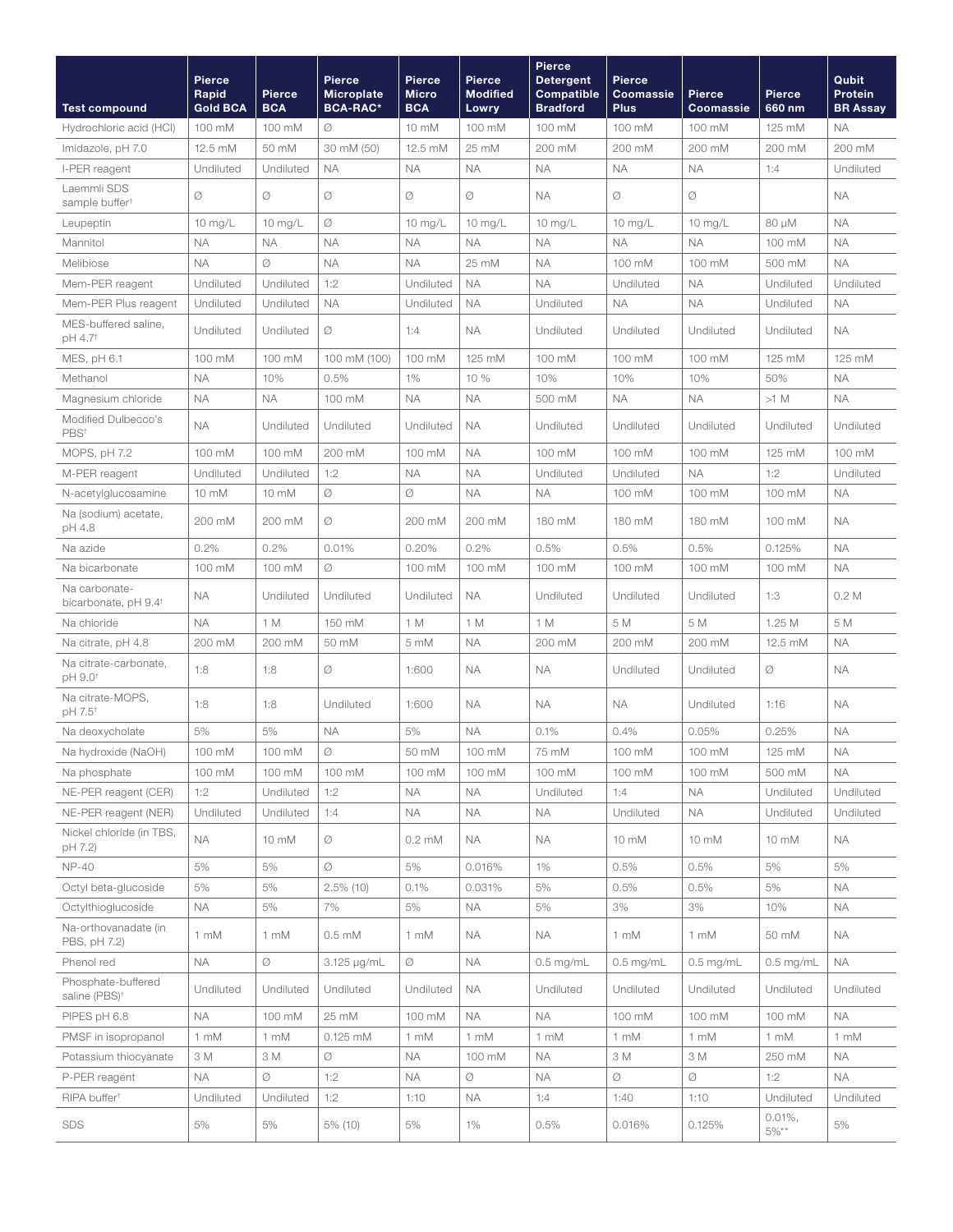| <b>Test compound</b>                              | Pierce<br>Rapid<br><b>Gold BCA</b> | Pierce<br><b>BCA</b> | <b>Pierce</b><br><b>Microplate</b><br><b>BCA-RAC*</b> | <b>Pierce</b><br><b>Micro</b><br><b>BCA</b> | Pierce<br><b>Modified</b><br>Lowry | <b>Pierce</b><br><b>Detergent</b><br><b>Compatible</b><br><b>Bradford</b> | <b>Pierce</b><br>Coomassie<br><b>Plus</b> | <b>Pierce</b><br>Coomassie | <b>Pierce</b><br>660 nm | Qubit<br>Protein<br><b>BR Assay</b> |
|---------------------------------------------------|------------------------------------|----------------------|-------------------------------------------------------|---------------------------------------------|------------------------------------|---------------------------------------------------------------------------|-------------------------------------------|----------------------------|-------------------------|-------------------------------------|
| Hydrochloric acid (HCI)                           | 100 mM                             | 100 mM               | Ø                                                     | 10 mM                                       | 100 mM                             | 100 mM                                                                    | 100 mM                                    | 100 mM                     | 125 mM                  | <b>NA</b>                           |
| Imidazole, pH 7.0                                 | 12.5 mM                            | 50 mM                | 30 mM (50)                                            | 12.5 mM                                     | 25 mM                              | 200 mM                                                                    | 200 mM                                    | 200 mM                     | 200 mM                  | 200 mM                              |
| I-PER reagent                                     | Undiluted                          | Undiluted            | <b>NA</b>                                             | <b>NA</b>                                   | <b>NA</b>                          | <b>NA</b>                                                                 | <b>NA</b>                                 | <b>NA</b>                  | 1:4                     | Undiluted                           |
| Laemmli SDS<br>sample buffer <sup>+</sup>         | Ø                                  | Ø                    | Ø                                                     | Ø                                           | Ø                                  | <b>NA</b>                                                                 | Ø                                         | Ø                          |                         | <b>NA</b>                           |
| Leupeptin                                         | $10$ mg/L                          | 10 mg/L              | Ø                                                     | 10 mg/L                                     | $10$ mg/L                          | 10 mg/L                                                                   | $10$ mg/L                                 | $10$ mg/L                  | $80 \mu M$              | <b>NA</b>                           |
| Mannitol                                          | <b>NA</b>                          | <b>NA</b>            | <b>NA</b>                                             | <b>NA</b>                                   | <b>NA</b>                          | <b>NA</b>                                                                 | ΝA                                        | <b>NA</b>                  | 100 mM                  | <b>NA</b>                           |
| Melibiose                                         | <b>NA</b>                          | Ø                    | <b>NA</b>                                             | <b>NA</b>                                   | 25 mM                              | <b>NA</b>                                                                 | 100 mM                                    | 100 mM                     | 500 mM                  | <b>NA</b>                           |
| Mem-PER reagent                                   | Undiluted                          | Undiluted            | 1:2                                                   | Undiluted                                   | <b>NA</b>                          | <b>NA</b>                                                                 | Undiluted                                 | ΝA                         | Undiluted               | Undiluted                           |
| Mem-PER Plus reagent                              | Undiluted                          | Undiluted            | <b>NA</b>                                             | Undiluted                                   | <b>NA</b>                          | Undiluted                                                                 | <b>NA</b>                                 | <b>NA</b>                  | Undiluted               | <b>NA</b>                           |
| MES-buffered saline,<br>pH 4.7 <sup>+</sup>       | Undiluted                          | Undiluted            | Ø                                                     | 1:4                                         | <b>NA</b>                          | Undiluted                                                                 | Undiluted                                 | Undiluted                  | Undiluted               | <b>NA</b>                           |
| MES, pH 6.1                                       | 100 mM                             | 100 mM               | 100 mM (100)                                          | 100 mM                                      | 125 mM                             | 100 mM                                                                    | 100 mM                                    | 100 mM                     | 125 mM                  | 125 mM                              |
| Methanol                                          | <b>NA</b>                          | 10%                  | 0.5%                                                  | 1%                                          | 10 %                               | 10%                                                                       | 10%                                       | 10%                        | 50%                     | <b>NA</b>                           |
| Magnesium chloride                                | <b>NA</b>                          | <b>NA</b>            | 100 mM                                                | <b>NA</b>                                   | <b>NA</b>                          | 500 mM                                                                    | ΝA                                        | <b>NA</b>                  | $>1$ M                  | <b>NA</b>                           |
| Modified Dulbecco's<br>PBS <sup>t</sup>           | ΝA                                 | Undiluted            | Undiluted                                             | Undiluted                                   | <b>NA</b>                          | Undiluted                                                                 | Undiluted                                 | Undiluted                  | Undiluted               | Undiluted                           |
| MOPS, pH 7.2                                      | 100 mM                             | 100 mM               | 200 mM                                                | 100 mM                                      | <b>NA</b>                          | 100 mM                                                                    | 100 mM                                    | 100 mM                     | 125 mM                  | 100 mM                              |
| M-PER reagent                                     | Undiluted                          | Undiluted            | 1:2                                                   | <b>NA</b>                                   | <b>NA</b>                          | Undiluted                                                                 | Undiluted                                 | <b>NA</b>                  | 1:2                     | Undiluted                           |
| N-acetylglucosamine                               | 10 mM                              | 10 mM                | Ø                                                     | Ø                                           | <b>NA</b>                          | <b>NA</b>                                                                 | 100 mM                                    | 100 mM                     | 100 mM                  | <b>NA</b>                           |
| Na (sodium) acetate,<br>pH 4.8                    | 200 mM                             | 200 mM               | Ø                                                     | 200 mM                                      | 200 mM                             | 180 mM                                                                    | 180 mM                                    | 180 mM                     | 100 mM                  | <b>NA</b>                           |
| Na azide                                          | 0.2%                               | 0.2%                 | 0.01%                                                 | 0.20%                                       | 0.2%                               | 0.5%                                                                      | 0.5%                                      | 0.5%                       | 0.125%                  | <b>NA</b>                           |
| Na bicarbonate                                    | 100 mM                             | 100 mM               | Ø                                                     | 100 mM                                      | 100 mM                             | 100 mM                                                                    | 100 mM                                    | 100 mM                     | 100 mM                  | <b>NA</b>                           |
| Na carbonate-<br>bicarbonate, pH 9.4 <sup>+</sup> | NА                                 | Undiluted            | Undiluted                                             | Undiluted                                   | <b>NA</b>                          | Undiluted                                                                 | Undiluted                                 | Undiluted                  | 1:3                     | 0.2 <sub>M</sub>                    |
| Na chloride                                       | <b>NA</b>                          | 1 M                  | 150 mM                                                | 1 M                                         | 1 M                                | 1 M                                                                       | 5 M                                       | 5 M                        | 1.25 M                  | 5 M                                 |
| Na citrate, pH 4.8                                | 200 mM                             | 200 mM               | 50 mM                                                 | 5 mM                                        | <b>NA</b>                          | 200 mM                                                                    | 200 mM                                    | 200 mM                     | 12.5 mM                 | <b>NA</b>                           |
| Na citrate-carbonate,<br>pH 9.0 <sup>+</sup>      | 1:8                                | 1:8                  | Ø                                                     | 1:600                                       | <b>NA</b>                          | <b>NA</b>                                                                 | Undiluted                                 | Undiluted                  | Ø                       | <b>NA</b>                           |
| Na citrate-MOPS,<br>pH 7.5 <sup>+</sup>           | 1:8                                | 1:8                  | Undiluted                                             | 1:600                                       | <b>NA</b>                          | <b>NA</b>                                                                 | <b>NA</b>                                 | Undiluted                  | 1:16                    | <b>NA</b>                           |
| Na deoxycholate                                   | 5%                                 | 5%                   | <b>NA</b>                                             | 5%                                          | <b>NA</b>                          | 0.1%                                                                      | 0.4%                                      | 0.05%                      | 0.25%                   | <b>NA</b>                           |
| Na hydroxide (NaOH)                               | 100 mM                             | $100 \ \mathrm{mM}$  | Ø                                                     | 50 mM                                       | 100 mM                             | 75 mM                                                                     | 100 mM                                    | 100 mM                     | 125 mM                  | <b>NA</b>                           |
| Na phosphate                                      | 100 mM                             | 100 mM               | 100 mM                                                | 100 mM                                      | 100 mM                             | 100 mM                                                                    | 100 mM                                    | 100 mM                     | 500 mM                  | <b>NA</b>                           |
| NE-PER reagent (CER)                              | 1:2                                | Undiluted            | 1:2                                                   | <b>NA</b>                                   | <b>NA</b>                          | Undiluted                                                                 | 1:4                                       | <b>ΝΑ</b>                  | Undiluted               | Undiluted                           |
| NE-PER reagent (NER)                              | Undiluted                          | Undiluted            | 1:4                                                   | <b>NA</b>                                   | <b>NA</b>                          | <b>NA</b>                                                                 | Undiluted                                 | <b>NA</b>                  | Undiluted               | Undiluted                           |
| Nickel chloride (in TBS,<br>pH 7.2)               | <b>NA</b>                          | 10 mM                | Ø                                                     | $0.2 \text{ mM}$                            | NА                                 | <b>NA</b>                                                                 | 10 mM                                     | 10 mM                      | 10 mM                   | NA                                  |
| <b>NP-40</b>                                      | 5%                                 | 5%                   | Ø                                                     | 5%                                          | 0.016%                             | 1%                                                                        | 0.5%                                      | 0.5%                       | 5%                      | 5%                                  |
| Octyl beta-glucoside                              | 5%                                 | 5%                   | $2.5\%$ (10)                                          | 0.1%                                        | 0.031%                             | 5%                                                                        | 0.5%                                      | 0.5%                       | 5%                      | <b>NA</b>                           |
| Octylthioglucoside                                | <b>ΝΑ</b>                          | 5%                   | 7%                                                    | 5%                                          | <b>NA</b>                          | 5%                                                                        | 3%                                        | 3%                         | 10%                     | <b>NA</b>                           |
| Na-orthovanadate (in<br>PBS, pH 7.2)              | 1 mM                               | 1 mM                 | $0.5 \text{ mM}$                                      | 1 mM                                        | <b>NA</b>                          | NA.                                                                       | 1 mM                                      | 1 mM                       | 50 mM                   | <b>NA</b>                           |
| Phenol red                                        | <b>NA</b>                          | Ø                    | 3.125 µg/mL                                           | Ø                                           | <b>NA</b>                          | $0.5$ mg/mL                                                               | $0.5$ mg/mL                               | $0.5$ mg/mL                | $0.5$ mg/mL             | <b>NA</b>                           |
| Phosphate-buffered<br>saline (PBS) <sup>+</sup>   | Undiluted                          | Undiluted            | Undiluted                                             | Undiluted                                   | NA                                 | Undiluted                                                                 | Undiluted                                 | Undiluted                  | Undiluted               | Undiluted                           |
| PIPES pH 6.8                                      | NA.                                | 100 mM               | 25 mM                                                 | 100 mM                                      | <b>NA</b>                          | <b>NA</b>                                                                 | 100 mM                                    | 100 mM                     | 100 mM                  | <b>NA</b>                           |
| PMSF in isopropanol                               | 1 mM                               | 1 mM                 | 0.125 mM                                              | 1 mM                                        | 1 mM                               | 1 mM                                                                      | 1 mM                                      | 1 mM                       | 1 mM                    | 1 mM                                |
| Potassium thiocyanate                             | 3 M                                | 3 M                  | Ø                                                     | <b>NA</b>                                   | 100 mM                             | <b>NA</b>                                                                 | 3 M                                       | 3 M                        | 250 mM                  | <b>NA</b>                           |
| P-PER reagent                                     | <b>NA</b>                          | Ø                    | 1:2                                                   | <b>NA</b>                                   | Ø                                  | <b>NA</b>                                                                 | Ø                                         | Ø                          | 1:2                     | <b>NA</b>                           |
| RIPA buffer <sup>t</sup>                          | Undiluted                          | Undiluted            | 1:2                                                   | 1:10                                        | <b>NA</b>                          | 1:4                                                                       | 1:40                                      | 1:10                       | Undiluted               | Undiluted                           |
| SDS                                               | 5%                                 | 5%                   | 5% (10)                                               | 5%                                          | 1%                                 | 0.5%                                                                      | 0.016%                                    | 0.125%                     | $0.01\%$ ,<br>$5\%**$   | 5%                                  |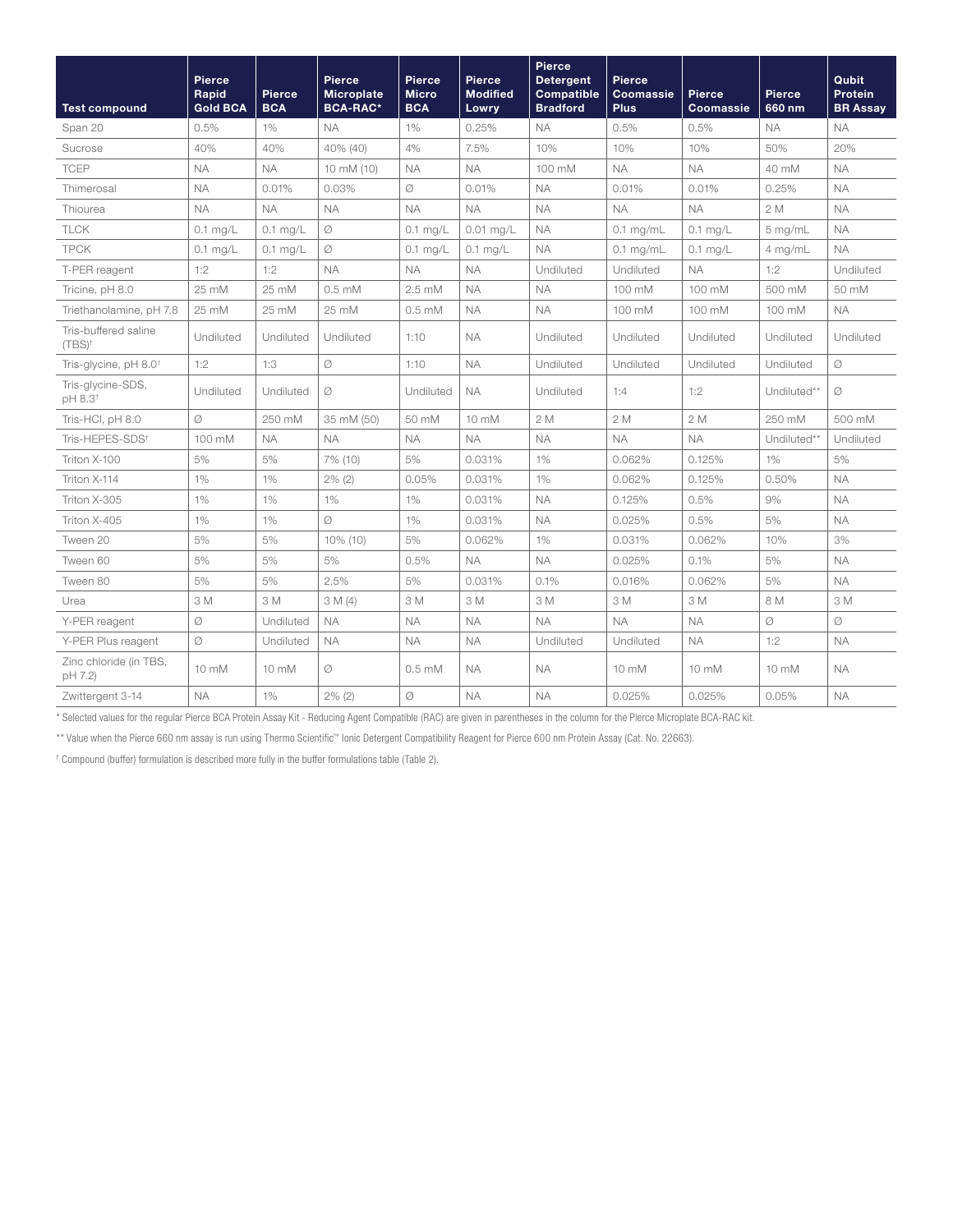| <b>Test compound</b>                     | <b>Pierce</b><br>Rapid<br><b>Gold BCA</b> | Pierce<br><b>BCA</b> | <b>Pierce</b><br><b>Microplate</b><br><b>BCA-RAC*</b> | <b>Pierce</b><br><b>Micro</b><br><b>BCA</b> | Pierce<br><b>Modified</b><br>Lowry | Pierce<br><b>Detergent</b><br><b>Compatible</b><br><b>Bradford</b> | Pierce<br>Coomassie<br><b>Plus</b> | Pierce<br>Coomassie | <b>Pierce</b><br>660 nm | Qubit<br>Protein<br><b>BR Assay</b> |
|------------------------------------------|-------------------------------------------|----------------------|-------------------------------------------------------|---------------------------------------------|------------------------------------|--------------------------------------------------------------------|------------------------------------|---------------------|-------------------------|-------------------------------------|
| Span 20                                  | 0.5%                                      | 1%                   | <b>NA</b>                                             | 1%                                          | 0.25%                              | <b>NA</b>                                                          | 0.5%                               | 0.5%                | <b>NA</b>               | <b>NA</b>                           |
| Sucrose                                  | 40%                                       | 40%                  | 40% (40)                                              | 4%                                          | 7.5%                               | 10%                                                                | 10%                                | 10%                 | 50%                     | 20%                                 |
| <b>TCEP</b>                              | <b>NA</b>                                 | <b>NA</b>            | 10 mM (10)                                            | <b>NA</b>                                   | <b>NA</b>                          | 100 mM                                                             | <b>NA</b>                          | <b>NA</b>           | 40 mM                   | <b>NA</b>                           |
| Thimerosal                               | <b>NA</b>                                 | 0.01%                | 0.03%                                                 | Ø                                           | 0.01%                              | <b>NA</b>                                                          | 0.01%                              | 0.01%               | 0.25%                   | <b>NA</b>                           |
| Thiourea                                 | <b>NA</b>                                 | <b>NA</b>            | <b>NA</b>                                             | <b>NA</b>                                   | <b>NA</b>                          | <b>NA</b>                                                          | <b>NA</b>                          | <b>NA</b>           | 2M                      | <b>NA</b>                           |
| <b>TLCK</b>                              | $0.1$ mg/L                                | $0.1$ mg/L           | Ø                                                     | $0.1$ mg/L                                  | $0.01$ mg/L                        | <b>NA</b>                                                          | $0.1$ mg/mL                        | $0.1$ mg/L          | $5$ mg/mL               | <b>NA</b>                           |
| <b>TPCK</b>                              | $0.1$ mg/L                                | $0.1$ mg/L           | Ø                                                     | $0.1$ mg/L                                  | $0.1$ mg/L                         | <b>NA</b>                                                          | $0.1$ mg/mL                        | $0.1$ mg/L          | 4 mg/mL                 | <b>NA</b>                           |
| T-PER reagent                            | 1:2                                       | 1:2                  | <b>NA</b>                                             | <b>NA</b>                                   | <b>NA</b>                          | Undiluted                                                          | Undiluted                          | ΝA                  | 1:2                     | Undiluted                           |
| Tricine, pH 8.0                          | 25 mM                                     | 25 mM                | $0.5 \text{ mM}$                                      | $2.5 \text{ mM}$                            | <b>NA</b>                          | <b>NA</b>                                                          | 100 mM                             | 100 mM              | 500 mM                  | 50 mM                               |
| Triethanolamine, pH 7.8                  | 25 mM                                     | 25 mM                | 25 mM                                                 | $0.5 \text{ mM}$                            | <b>NA</b>                          | <b>NA</b>                                                          | 100 mM                             | 100 mM              | 100 mM                  | <b>NA</b>                           |
| Tris-buffered saline<br>$(TBS)^{+}$      | Undiluted                                 | Undiluted            | Undiluted                                             | 1:10                                        | <b>NA</b>                          | Undiluted                                                          | Undiluted                          | Undiluted           | Undiluted               | Undiluted                           |
| Tris-glycine, pH 8.0 <sup>+</sup>        | 1:2                                       | 1:3                  | Ø                                                     | 1:10                                        | <b>NA</b>                          | Undiluted                                                          | Undiluted                          | Undiluted           | Undiluted               | Ø                                   |
| Tris-glycine-SDS,<br>pH 8.3 <sup>+</sup> | Undiluted                                 | Undiluted            | Ø                                                     | Undiluted                                   | <b>NA</b>                          | Undiluted                                                          | 1:4                                | 1:2                 | Undiluted**             | Ø                                   |
| Tris-HCI, pH 8.0                         | Ø                                         | 250 mM               | 35 mM (50)                                            | 50 mM                                       | 10 mM                              | 2 M                                                                | 2 M                                | 2 M                 | 250 mM                  | 500 mM                              |
| Tris-HEPES-SDS <sup>+</sup>              | 100 mM                                    | <b>NA</b>            | <b>NA</b>                                             | <b>NA</b>                                   | <b>NA</b>                          | <b>NA</b>                                                          | <b>NA</b>                          | <b>NA</b>           | Undiluted**             | Undiluted                           |
| Triton X-100                             | 5%                                        | 5%                   | 7% (10)                                               | 5%                                          | 0.031%                             | 1%                                                                 | 0.062%                             | 0.125%              | 1%                      | 5%                                  |
| Triton X-114                             | 1%                                        | 1%                   | $2\%$ (2)                                             | 0.05%                                       | 0.031%                             | 1%                                                                 | 0.062%                             | 0.125%              | 0.50%                   | <b>NA</b>                           |
| Triton X-305                             | 1%                                        | 1%                   | 1%                                                    | 1%                                          | 0.031%                             | <b>NA</b>                                                          | 0.125%                             | 0.5%                | 9%                      | <b>NA</b>                           |
| Triton X-405                             | 1%                                        | 1%                   | $\varnothing$                                         | 1%                                          | 0.031%                             | <b>NA</b>                                                          | 0.025%                             | 0.5%                | 5%                      | <b>NA</b>                           |
| Tween 20                                 | 5%                                        | 5%                   | 10% (10)                                              | 5%                                          | 0.062%                             | 1%                                                                 | 0.031%                             | 0.062%              | 10%                     | 3%                                  |
| Tween 60                                 | 5%                                        | 5%                   | 5%                                                    | 0.5%                                        | <b>NA</b>                          | <b>NA</b>                                                          | 0.025%                             | 0.1%                | 5%                      | <b>NA</b>                           |
| Tween 80                                 | 5%                                        | 5%                   | 2.5%                                                  | 5%                                          | 0.031%                             | 0.1%                                                               | 0.016%                             | 0.062%              | 5%                      | <b>NA</b>                           |
| Urea                                     | 3 M                                       | 3 M                  | 3M(4)                                                 | 3 M                                         | 3 M                                | 3 M                                                                | 3 M                                | 3 M                 | 8 M                     | 3 M                                 |
| Y-PER reagent                            | Ø                                         | Undiluted            | <b>NA</b>                                             | <b>NA</b>                                   | <b>NA</b>                          | <b>NA</b>                                                          | <b>NA</b>                          | <b>NA</b>           | Ø                       | Ø                                   |
| Y-PER Plus reagent                       | Ø                                         | Undiluted            | <b>NA</b>                                             | <b>NA</b>                                   | <b>NA</b>                          | Undiluted                                                          | Undiluted                          | <b>NA</b>           | 1:2                     | <b>NA</b>                           |
| Zinc chloride (in TBS,<br>pH 7.2)        | $10 \text{ mM}$                           | 10 mM                | Ø                                                     | $0.5 \text{ mM}$                            | <b>NA</b>                          | <b>NA</b>                                                          | $10 \text{ mM}$                    | $10 \text{ mM}$     | 10 mM                   | <b>NA</b>                           |
| Zwittergent 3-14                         | <b>NA</b>                                 | 1%                   | $2\%$ (2)                                             | Ø                                           | <b>NA</b>                          | <b>NA</b>                                                          | 0.025%                             | 0.025%              | 0.05%                   | <b>NA</b>                           |

\* Selected values for the regular Pierce BCA Protein Assay Kit - Reducing Agent Compatible (RAC) are given in parentheses in the column for the Pierce Microplate BCA-RAC kit.

\*\* Value when the Pierce 660 nm assay is run using Thermo Scientific™ Ionic Detergent Compatibility Reagent for Pierce 600 nm Protein Assay (Cat. No. 22663).

† Compound (buffer) formulation is described more fully in the buffer formulations table (Table 2).